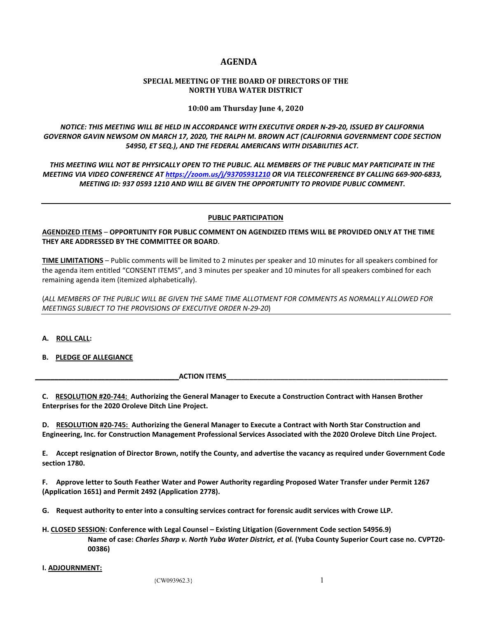# **AGENDA**

#### **SPECIAL MEETING OF THE BOARD OF DIRECTORS OF THE NORTH YUBA WATER DISTRICT**

#### **10:00 am Thursday June 4, 2020**

*NOTICE: THIS MEETING WILL BE HELD IN ACCORDANCE WITH EXECUTIVE ORDER N-29-20, ISSUED BY CALIFORNIA GOVERNOR GAVIN NEWSOM ON MARCH 17, 2020, THE RALPH M. BROWN ACT (CALIFORNIA GOVERNMENT CODE SECTION 54950, ET SEQ.), AND THE FEDERAL AMERICANS WITH DISABILITIES ACT.* 

*THIS MEETING WILL NOT BE PHYSICALLY OPEN TO THE PUBLIC. ALL MEMBERS OF THE PUBLIC MAY PARTICIPATE IN THE MEETING VIA VIDEO CONFERENCE AT<https://zoom.us/j/93705931210> OR VIA TELECONFERENCE BY CALLING 669-900-6833, MEETING ID: 937 0593 1210 AND WILL BE GIVEN THE OPPORTUNITY TO PROVIDE PUBLIC COMMENT.* 

## **PUBLIC PARTICIPATION**

## **AGENDIZED ITEMS** – **OPPORTUNITY FOR PUBLIC COMMENT ON AGENDIZED ITEMS WILL BE PROVIDED ONLY AT THE TIME THEY ARE ADDRESSED BY THE COMMITTEE OR BOARD**.

**TIME LIMITATIONS** – Public comments will be limited to 2 minutes per speaker and 10 minutes for all speakers combined for the agenda item entitled "CONSENT ITEMS", and 3 minutes per speaker and 10 minutes for all speakers combined for each remaining agenda item (itemized alphabetically).

(*ALL MEMBERS OF THE PUBLIC WILL BE GIVEN THE SAME TIME ALLOTMENT FOR COMMENTS AS NORMALLY ALLOWED FOR MEETINGS SUBJECT TO THE PROVISIONS OF EXECUTIVE ORDER N-29-20*)

## **A. ROLL CALL:**

#### **B. PLEDGE OF ALLEGIANCE**

**ACTION ITEMS\_** 

**C. RESOLUTION #20-744: Authorizing the General Manager to Execute a Construction Contract with Hansen Brother Enterprises for the 2020 Oroleve Ditch Line Project.**

**D. RESOLUTION #20-745: Authorizing the General Manager to Execute a Contract with North Star Construction and Engineering, Inc. for Construction Management Professional Services Associated with the 2020 Oroleve Ditch Line Project.**

**E. Accept resignation of Director Brown, notify the County, and advertise the vacancy as required under Government Code section 1780.**

**F. Approve letter to South Feather Water and Power Authority regarding Proposed Water Transfer under Permit 1267 (Application 1651) and Permit 2492 (Application 2778).**

**G. Request authority to enter into a consulting services contract for forensic audit services with Crowe LLP.**

**H. CLOSED SESSION: Conference with Legal Counsel – Existing Litigation (Government Code section 54956.9) Name of case:** *Charles Sharp v. North Yuba Water District, et al.* **(Yuba County Superior Court case no. CVPT20- 00386)**

#### **I. ADJOURNMENT:**